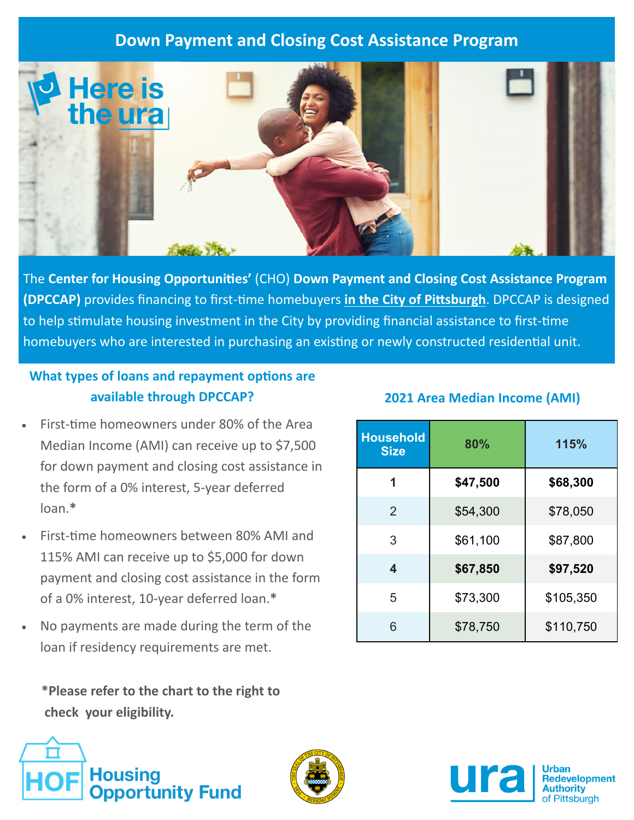# **Down Payment and Closing Cost Assistance Program**



The **Center for Housing OpportuniƟes'** (CHO) **Down Payment and Closing Cost Assistance Program (DPCCAP)** provides financing to first‐Ɵme homebuyers **in the City of PiƩsburgh**. DPCCAP is designed to help stimulate housing investment in the City by providing financial assistance to first-time homebuyers who are interested in purchasing an existing or newly constructed residential unit.

#### **What types of loans and repayment options are available through DPCCAP?**

- First-time homeowners under 80% of the Area Median Income (AMI) can receive up to \$7,500 for down payment and closing cost assistance in the form of a 0% interest, 5‐year deferred loan.**\***
- First-time homeowners between 80% AMI and 115% AMI can receive up to \$5,000 for down payment and closing cost assistance in the form of a 0% interest, 10‐year deferred loan.**\***
- No payments are made during the term of the loan if residency requirements are met.

 **\*Please refer to the chart to the right to check your eligibility.** 





|  | <b>2021 Area Median Income (AMI)</b> |  |
|--|--------------------------------------|--|
|  |                                      |  |

| <b>Household</b><br><b>Size</b> | 80%      | 115%      |  |
|---------------------------------|----------|-----------|--|
| 1                               | \$47,500 | \$68,300  |  |
| 2                               | \$54,300 | \$78,050  |  |
| 3                               | \$61,100 | \$87,800  |  |
| 4                               | \$67,850 | \$97,520  |  |
| 5                               | \$73,300 | \$105,350 |  |
| 6                               | \$78,750 | \$110,750 |  |